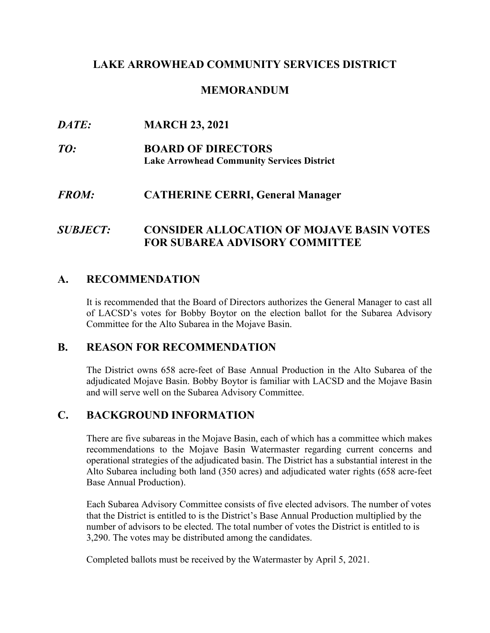## **LAKE ARROWHEAD COMMUNITY SERVICES DISTRICT**

## **MEMORANDUM**

## *DATE:* **MARCH 23, 2021**

*TO:* **BOARD OF DIRECTORS Lake Arrowhead Community Services District**

## *FROM:* **CATHERINE CERRI, General Manager**

# *SUBJECT:* **CONSIDER ALLOCATION OF MOJAVE BASIN VOTES FOR SUBAREA ADVISORY COMMITTEE**

## **A. RECOMMENDATION**

It is recommended that the Board of Directors authorizes the General Manager to cast all of LACSD's votes for Bobby Boytor on the election ballot for the Subarea Advisory Committee for the Alto Subarea in the Mojave Basin.

#### **B. REASON FOR RECOMMENDATION**

The District owns 658 acre-feet of Base Annual Production in the Alto Subarea of the adjudicated Mojave Basin. Bobby Boytor is familiar with LACSD and the Mojave Basin and will serve well on the Subarea Advisory Committee.

## **C. BACKGROUND INFORMATION**

There are five subareas in the Mojave Basin, each of which has a committee which makes recommendations to the Mojave Basin Watermaster regarding current concerns and operational strategies of the adjudicated basin. The District has a substantial interest in the Alto Subarea including both land (350 acres) and adjudicated water rights (658 acre-feet Base Annual Production).

Each Subarea Advisory Committee consists of five elected advisors. The number of votes that the District is entitled to is the District's Base Annual Production multiplied by the number of advisors to be elected. The total number of votes the District is entitled to is 3,290. The votes may be distributed among the candidates.

Completed ballots must be received by the Watermaster by April 5, 2021.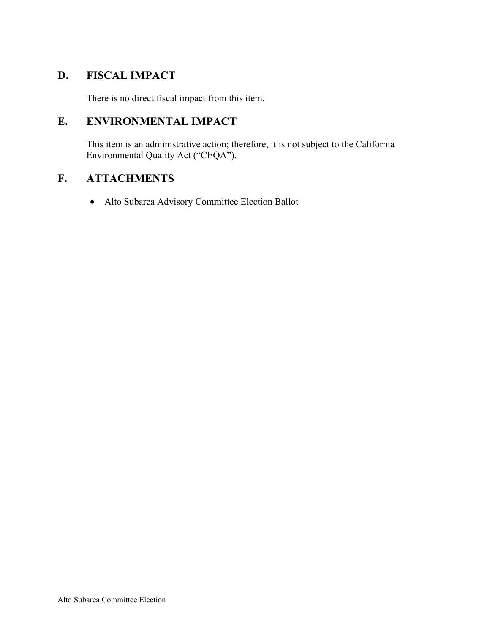# **D. FISCAL IMPACT**

There is no direct fiscal impact from this item.

# **E. ENVIRONMENTAL IMPACT**

This item is an administrative action; therefore, it is not subject to the California Environmental Quality Act ("CEQA").

# **F. ATTACHMENTS**

• Alto Subarea Advisory Committee Election Ballot